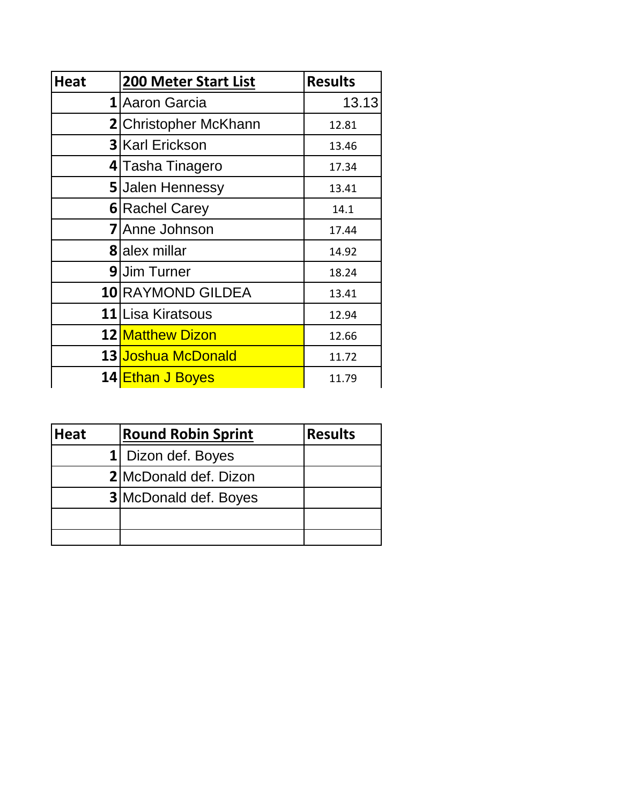| <b>Heat</b> | <b>200 Meter Start List</b>                                                                                                                                                                                                                     | <b>Results</b> |  |  |
|-------------|-------------------------------------------------------------------------------------------------------------------------------------------------------------------------------------------------------------------------------------------------|----------------|--|--|
|             |                                                                                                                                                                                                                                                 | 13.13          |  |  |
|             |                                                                                                                                                                                                                                                 | 12.81          |  |  |
|             | 1 Aaron Garcia<br>2 Christopher McKhann<br><b>3 Karl Erickson</b><br>13.46<br>4 Tasha Tinagero<br>17.34<br><b>5</b> Jalen Hennessy<br>13.41<br><b>6</b> Rachel Carey<br>14.1<br><b>7</b> Anne Johnson<br>17.44<br><b>8</b> alex millar<br>14.92 |                |  |  |
|             |                                                                                                                                                                                                                                                 |                |  |  |
|             |                                                                                                                                                                                                                                                 |                |  |  |
|             |                                                                                                                                                                                                                                                 |                |  |  |
|             |                                                                                                                                                                                                                                                 |                |  |  |
|             |                                                                                                                                                                                                                                                 |                |  |  |
|             | <b>9</b> Uim Turner                                                                                                                                                                                                                             | 18.24          |  |  |
|             | <b>10 RAYMOND GILDEA</b>                                                                                                                                                                                                                        | 13.41          |  |  |
|             | 11 Lisa Kiratsous                                                                                                                                                                                                                               | 12.94          |  |  |
|             | 12 Matthew Dizon                                                                                                                                                                                                                                | 12.66          |  |  |
|             | 13 Joshua McDonald                                                                                                                                                                                                                              | 11.72          |  |  |
|             | 14 Ethan J Boyes                                                                                                                                                                                                                                | 11.79          |  |  |

| <b>Heat</b> | <b>Round Robin Sprint</b>    | <b>Results</b> |
|-------------|------------------------------|----------------|
|             | 1 Dizon def. Boyes           |                |
|             | 2 McDonald def. Dizon        |                |
|             | <b>3</b> McDonald def. Boyes |                |
|             |                              |                |
|             |                              |                |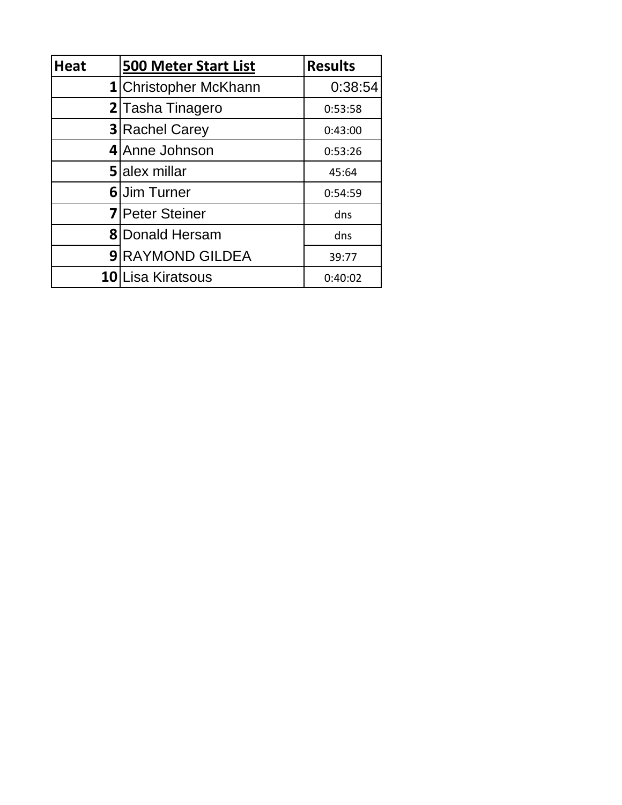| <b>Heat</b> | <b>500 Meter Start List</b> | <b>Results</b> |
|-------------|-----------------------------|----------------|
|             | 1 Christopher McKhann       | 0:38:54        |
|             | 2 Tasha Tinagero            | 0:53:58        |
|             | <b>3</b> Rachel Carey       | 0:43:00        |
|             | 4 Anne Johnson              | 0:53:26        |
|             | <b>5</b> Jalex millar       | 45:64          |
|             | <b>6</b> Uim Turner         | 0:54:59        |
|             | <b>7</b> Peter Steiner      | dns            |
|             | <b>8</b> Donald Hersam      | dns            |
|             | <b>9 RAYMOND GILDEA</b>     | 39:77          |
|             | 10 Lisa Kiratsous           | 0:40:02        |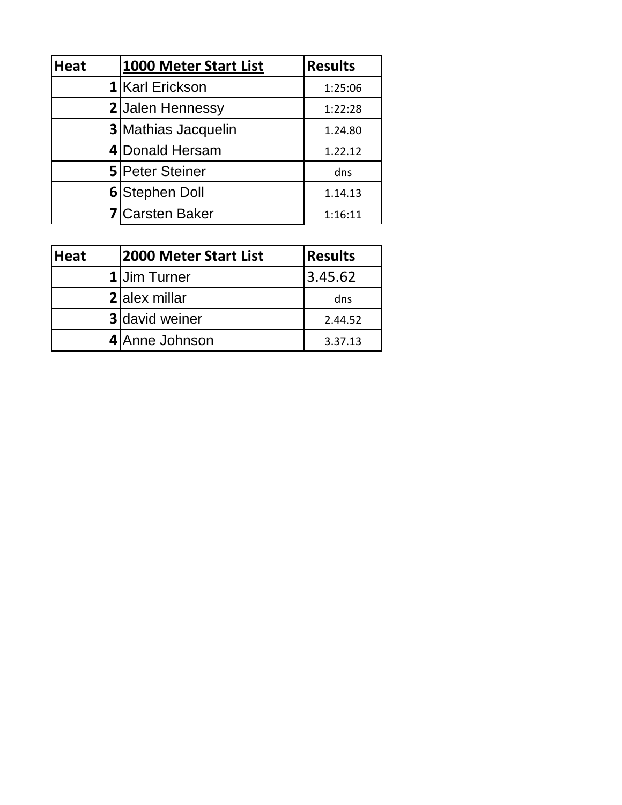| <b>Heat</b> | 1000 Meter Start List      | <b>Results</b> |
|-------------|----------------------------|----------------|
|             | 1 Karl Erickson            | 1:25:06        |
|             | 2 Jalen Hennessy           | 1:22:28        |
|             | <b>3</b> Mathias Jacquelin | 1.24.80        |
|             | 4 Donald Hersam            | 1.22.12        |
|             | <b>5</b> Peter Steiner     | dns            |
|             | 6 Stephen Doll             | 1.14.13        |
|             | <b>7</b> Carsten Baker     | 1:16:11        |

| <b>Heat</b> | 2000 Meter Start List | Results |
|-------------|-----------------------|---------|
|             | 1 Jim Turner          | 3.45.62 |
|             | 2 alex millar         | dns     |
|             | <b>3</b> david weiner | 2.44.52 |
|             | 4 Anne Johnson        | 3.37.13 |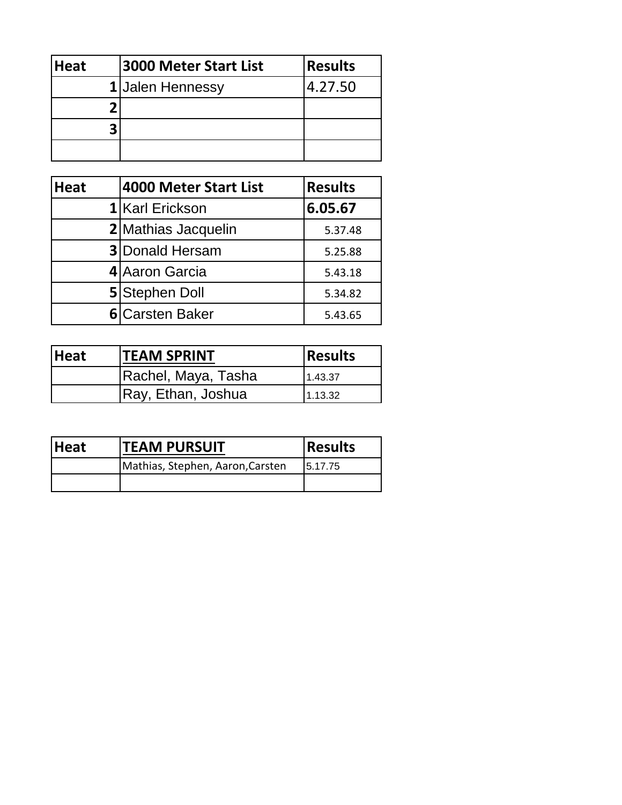| <b>Heat</b> | <b>3000 Meter Start List</b> | <b>Results</b> |
|-------------|------------------------------|----------------|
|             | 1 Jalen Hennessy             | 4.27.50        |
|             |                              |                |
|             |                              |                |
|             |                              |                |

| <b>Heat</b> | <b>4000 Meter Start List</b> | <b>Results</b> |
|-------------|------------------------------|----------------|
|             | 1 Karl Erickson              | 6.05.67        |
|             | 2 Mathias Jacquelin          | 5.37.48        |
|             | <b>3</b> Donald Hersam       | 5.25.88        |
|             | 4 Aaron Garcia               | 5.43.18        |
|             | 5 Stephen Doll               | 5.34.82        |
|             | <b>6</b> Carsten Baker       | 5.43.65        |

| <b>Heat</b> | <b>TEAM SPRINT</b>  | <b>Results</b> |
|-------------|---------------------|----------------|
|             | Rachel, Maya, Tasha | 1.43.37        |
|             | Ray, Ethan, Joshua  | 1.13.32        |

| <b>Heat</b> | <b>ITEAM PURSUIT</b>             | <b>Results</b> |  |
|-------------|----------------------------------|----------------|--|
|             | Mathias, Stephen, Aaron, Carsten | 15.17.75       |  |
|             |                                  |                |  |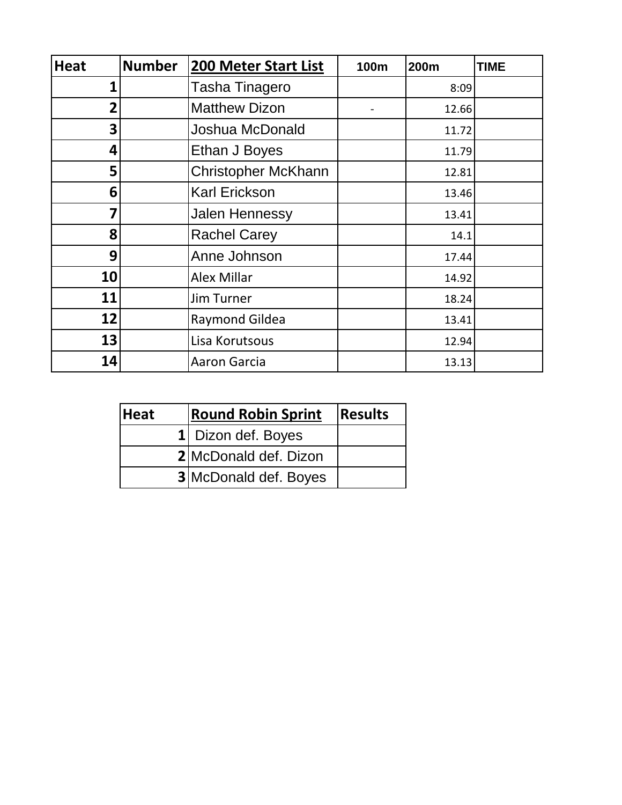| <b>Heat</b>    | <b>Number</b> | <b>200 Meter Start List</b> | 100m | <b>200m</b> | <b>TIME</b> |
|----------------|---------------|-----------------------------|------|-------------|-------------|
| 1              |               | <b>Tasha Tinagero</b>       |      | 8:09        |             |
| $\overline{2}$ |               | <b>Matthew Dizon</b>        |      | 12.66       |             |
| 3              |               | Joshua McDonald             |      | 11.72       |             |
| 4              |               | Ethan J Boyes               |      | 11.79       |             |
| 5              |               | <b>Christopher McKhann</b>  |      | 12.81       |             |
| 6              |               | <b>Karl Erickson</b>        |      | 13.46       |             |
| 7              |               | Jalen Hennessy              |      | 13.41       |             |
| 8              |               | <b>Rachel Carey</b>         |      | 14.1        |             |
| 9              |               | Anne Johnson                |      | 17.44       |             |
| 10             |               | Alex Millar                 |      | 14.92       |             |
| 11             |               | Jim Turner                  |      | 18.24       |             |
| 12             |               | <b>Raymond Gildea</b>       |      | 13.41       |             |
| 13             |               | Lisa Korutsous              |      | 12.94       |             |
| 14             |               | Aaron Garcia                |      | 13.13       |             |

| <b>Heat</b> | <b>Round Robin Sprint</b>     | <b>Results</b> |
|-------------|-------------------------------|----------------|
|             | 1 Dizon def. Boyes            |                |
|             | <b>2</b> IMcDonald def. Dizon |                |
|             | <b>3</b> McDonald def. Boyes  |                |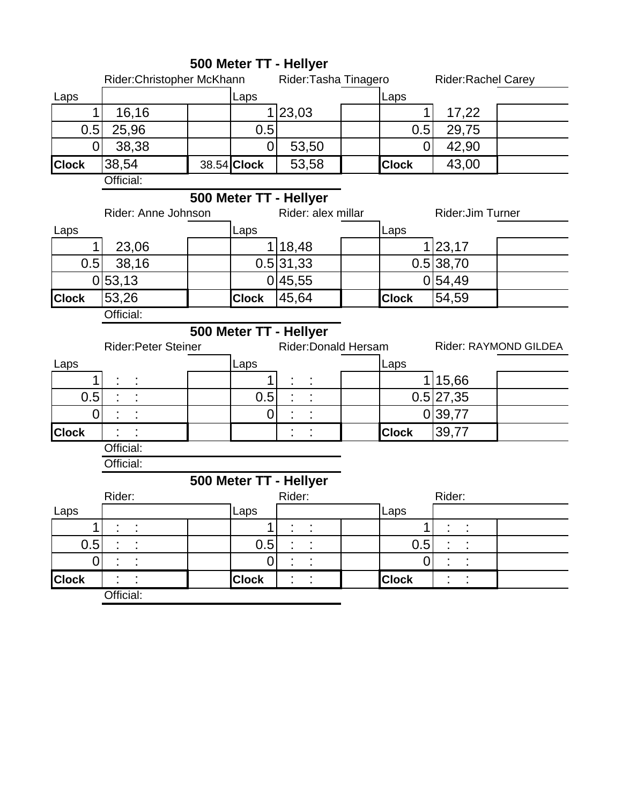|                |                            |              | 500 Meter TT - Hellyer |              |                           |                       |
|----------------|----------------------------|--------------|------------------------|--------------|---------------------------|-----------------------|
|                | Rider:Christopher McKhann  |              | Rider: Tasha Tinagero  |              | <b>Rider:Rachel Carey</b> |                       |
| Laps           |                            | Laps         |                        | Laps         |                           |                       |
| $\mathbf 1$    | 16,16                      |              | 1 23,03                | 1            | 17,22                     |                       |
| 0.5            | 25,96                      | 0.5          |                        | 0.5          | 29,75                     |                       |
| $\overline{0}$ | 38,38                      | 0            | 53,50                  | 0            | 42,90                     |                       |
| <b>Clock</b>   | 38,54                      | 38.54 Clock  | 53,58                  | <b>Clock</b> | 43,00                     |                       |
|                | Official:                  |              |                        |              |                           |                       |
|                |                            |              | 500 Meter TT - Hellyer |              |                           |                       |
|                | Rider: Anne Johnson        |              | Rider: alex millar     |              | Rider: Jim Turner         |                       |
| Laps           |                            | Laps         |                        | Laps         |                           |                       |
| $\mathbf{1}$   | 23,06                      |              | 1 18,48                |              | 1 23,17                   |                       |
| 0.5            | 38,16                      |              | 0.5 31,33              |              | 0.5 38,70                 |                       |
|                | 0 53,13                    |              | 0 45,55                |              | 0 54,49                   |                       |
| <b>Clock</b>   | 53,26                      | <b>Clock</b> | 45,64                  | <b>Clock</b> | 54,59                     |                       |
|                | Official:                  |              |                        |              |                           |                       |
|                |                            |              | 500 Meter TT - Hellyer |              |                           |                       |
|                | <b>Rider:Peter Steiner</b> |              | Rider: Donald Hersam   |              |                           | Rider: RAYMOND GILDEA |
| Laps           |                            | Laps         |                        | Laps         |                           |                       |
| 1              |                            |              |                        |              | 115,66                    |                       |
| 0.5            |                            | 0.5          |                        |              | 0.5 27,35                 |                       |
| $\overline{0}$ |                            | 0            |                        |              | 0 39,77                   |                       |
| <b>Clock</b>   |                            |              |                        | <b>Clock</b> | 39,77                     |                       |
|                | Official:                  |              |                        |              |                           |                       |
|                | Official:                  |              |                        |              |                           |                       |
|                |                            |              | 500 Meter TT - Hellyer |              |                           |                       |
|                | Rider:                     |              | Rider:                 |              | Rider:                    |                       |
| Laps           |                            | Laps         |                        | ILaps        |                           |                       |
| 1              |                            | 1            | ٠                      | 1            | $\blacksquare$            |                       |
| 0.5            |                            | 0.5          |                        | 0.5          |                           |                       |
|                |                            |              |                        |              |                           |                       |
| $\overline{0}$ |                            | 0            |                        | 0            |                           |                       |
| <b>Clock</b>   | Official:                  | <b>Clock</b> |                        | <b>Clock</b> | İ,                        |                       |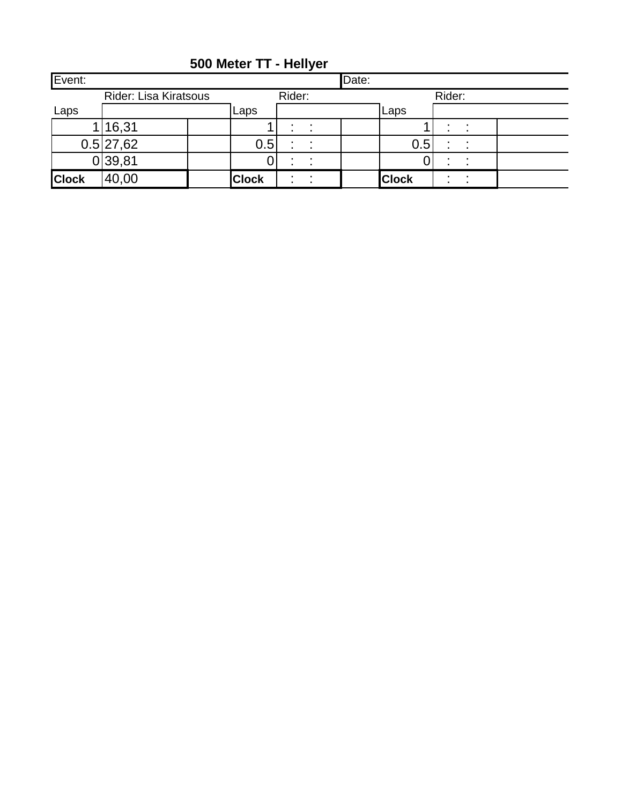| Event:       |                              |              |        |                | Date: |              |        |                |  |
|--------------|------------------------------|--------------|--------|----------------|-------|--------------|--------|----------------|--|
|              | <b>Rider: Lisa Kiratsous</b> |              | Rider: |                |       |              | Rider: |                |  |
| Laps         |                              | Laps         |        |                |       | Laps         |        |                |  |
|              | 1 16,31                      |              |        |                |       |              |        |                |  |
|              | 0.5 27,62                    |              | 0.5    | ٠              |       | 0.5          | ٠      |                |  |
|              | 0 39,81                      |              |        |                |       |              |        |                |  |
| <b>Clock</b> | 40,00                        | <b>Clock</b> |        | $\blacksquare$ |       | <b>Clock</b> |        | $\blacksquare$ |  |

**500 Meter TT - Hellyer**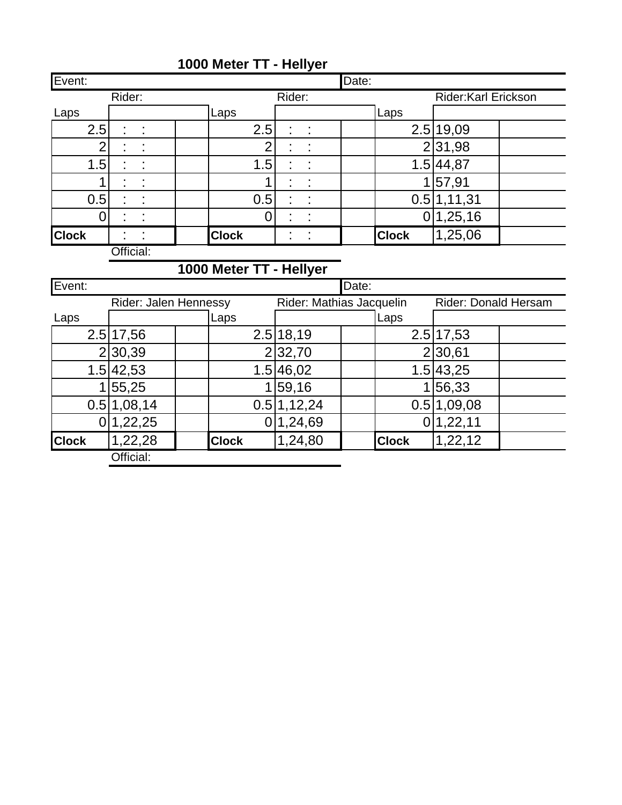| Event:         |                                                                                  |                         |             | Date: |              |                     |  |  |  |  |  |
|----------------|----------------------------------------------------------------------------------|-------------------------|-------------|-------|--------------|---------------------|--|--|--|--|--|
|                | Rider:                                                                           |                         | Rider:      |       |              | Rider:Karl Erickson |  |  |  |  |  |
| Laps           |                                                                                  | Laps                    |             |       | Laps         |                     |  |  |  |  |  |
| 2.5            |                                                                                  | 2.5                     |             |       |              | 2.5 19,09           |  |  |  |  |  |
| $\overline{2}$ |                                                                                  | 2                       |             |       |              | 231,98              |  |  |  |  |  |
| 1.5            |                                                                                  | 1.5                     |             |       |              | 1.5 44,87           |  |  |  |  |  |
| 1              |                                                                                  | 1                       |             |       |              | 1 57,91             |  |  |  |  |  |
| 0.5            |                                                                                  | 0.5                     |             |       |              | 0.5 1,11,31         |  |  |  |  |  |
| 0              |                                                                                  | 0                       |             |       |              | 0 1,25,16           |  |  |  |  |  |
| <b>Clock</b>   |                                                                                  | <b>Clock</b>            |             |       | <b>Clock</b> | 1,25,06             |  |  |  |  |  |
|                | Official:                                                                        |                         |             |       |              |                     |  |  |  |  |  |
|                |                                                                                  | 1000 Meter TT - Hellyer |             |       |              |                     |  |  |  |  |  |
| Event:         |                                                                                  |                         |             | Date: |              |                     |  |  |  |  |  |
|                | Rider: Jalen Hennessy<br>Rider: Mathias Jacquelin<br><b>Rider: Donald Hersam</b> |                         |             |       |              |                     |  |  |  |  |  |
|                |                                                                                  |                         |             |       |              |                     |  |  |  |  |  |
| Laps           |                                                                                  | Laps                    |             |       | Laps         |                     |  |  |  |  |  |
|                | 2.5 17,56                                                                        |                         | 2.5 18,19   |       |              | 2.5 17,53           |  |  |  |  |  |
|                | 230,39                                                                           |                         | 2 32,70     |       |              | 2 30,61             |  |  |  |  |  |
|                | 1.5 42,53                                                                        |                         | 1.5 46,02   |       |              | 1.5 43,25           |  |  |  |  |  |
| 1              | 55,25                                                                            | 1                       | 59,16       |       | 1            | 56,33               |  |  |  |  |  |
|                | 0.5 1,08,14                                                                      |                         | 0.5 1,12,24 |       |              | 0.5 1,09,08         |  |  |  |  |  |
| 0              | 1,22,25                                                                          |                         | 0 1,24,69   |       |              | 0 1,22,11           |  |  |  |  |  |
| <b>Clock</b>   | 1,22,28                                                                          | <b>Clock</b>            | 1,24,80     |       | <b>Clock</b> | 1,22,12             |  |  |  |  |  |

# **1000 Meter TT - Hellyer**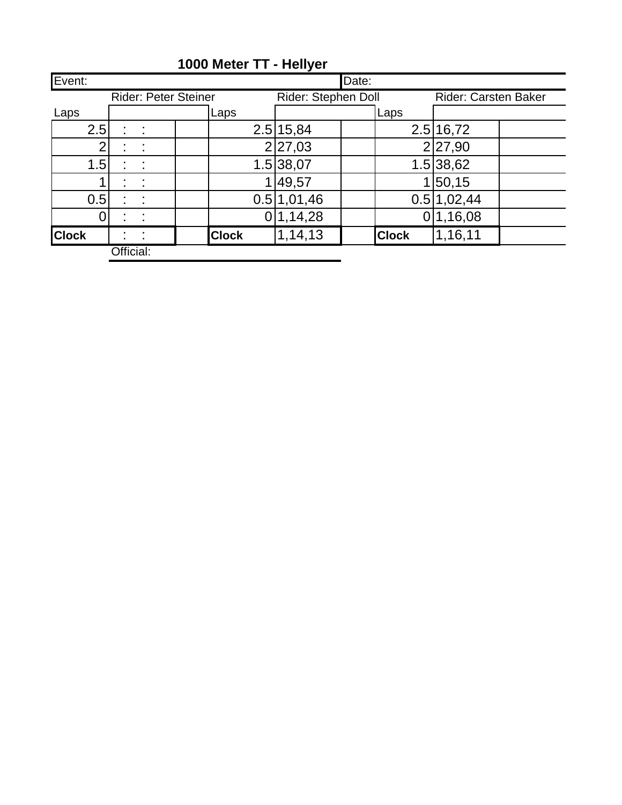| Event:       |           |                             |              |                     | Date: |                      |             |  |  |
|--------------|-----------|-----------------------------|--------------|---------------------|-------|----------------------|-------------|--|--|
|              |           | <b>Rider: Peter Steiner</b> |              | Rider: Stephen Doll |       | Rider: Carsten Baker |             |  |  |
| Laps         |           |                             | Laps         |                     |       | Laps                 |             |  |  |
| 2.5          |           | t                           |              | 2.5 15,84           |       |                      | 2.5 16,72   |  |  |
|              |           |                             |              | 2 27,03             |       |                      | 2 27,90     |  |  |
| 1.5          |           | t,                          |              | 1.5 38,07           |       |                      | 1.5 38,62   |  |  |
|              |           |                             |              | 49,57               |       |                      | 50, 15      |  |  |
| 0.5          |           | t                           |              | 0.5 1,01,46         |       |                      | 0.5 1,02,44 |  |  |
|              |           |                             |              | 1,14,28             |       |                      | 1,16,08     |  |  |
| <b>Clock</b> |           | ٠                           | <b>Clock</b> | 1,14,13             |       | <b>Clock</b>         | 1,16,11     |  |  |
|              | Official: |                             |              |                     |       |                      |             |  |  |

# **1000 Meter TT - Hellyer**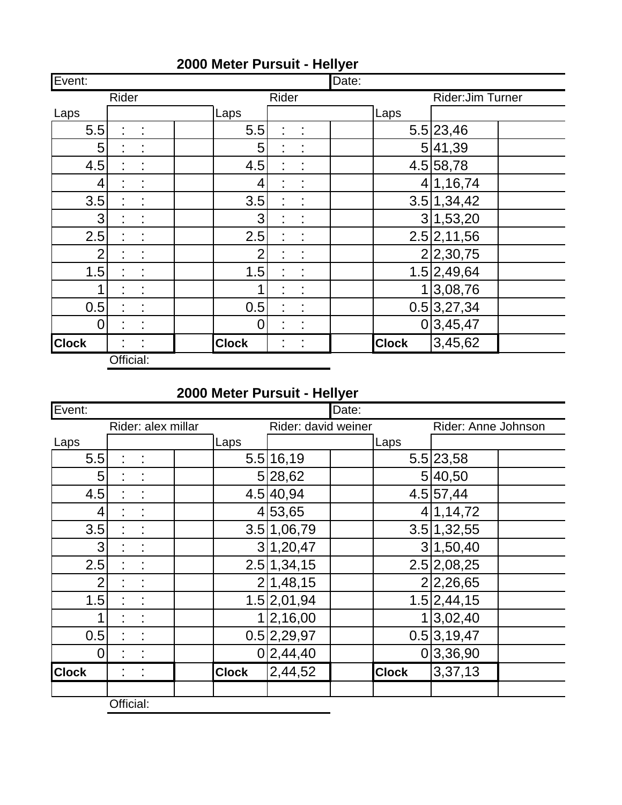| Event:         |           |                      |                |       |             | Date: |              |                   |  |
|----------------|-----------|----------------------|----------------|-------|-------------|-------|--------------|-------------------|--|
|                | Rider     |                      |                | Rider |             |       |              | Rider: Jim Turner |  |
| Laps           |           |                      | Laps           |       |             |       | Laps         |                   |  |
| 5.5            | Ì         | $\ddot{\phantom{a}}$ | 5.5            | t,    | $\sim 10^7$ |       |              | 5.5 23,46         |  |
| 5              |           |                      | 5              |       |             |       |              | 5 41,39           |  |
| 4.5            |           | ÷                    | 4.5            | t,    | t           |       |              | 4.5 58,78         |  |
| 4              |           | ÷,                   | 4              |       | Ì,          |       |              | 4 1,16,74         |  |
| 3.5            |           | t                    | 3.5            |       |             |       |              | 3.5 1,34,42       |  |
| 3              |           |                      | 3              |       |             |       |              | 3 1,53,20         |  |
| 2.5            |           | ÷                    | 2.5            |       | ÷           |       |              | 2.5 2,11,56       |  |
| $\overline{2}$ |           | ÷                    | $\overline{2}$ |       | t           |       |              | 2 2,30,75         |  |
| 1.5            |           | ÷                    | 1.5            |       | t           |       |              | 1.5 2,49,64       |  |
|                |           |                      | 1              |       |             |       |              | 1 3,08,76         |  |
| 0.5            |           | t,                   | 0.5            |       | t           |       |              | 0.5 3,27,34       |  |
| $\overline{0}$ |           |                      | $\overline{0}$ |       | ÷           |       |              | 0 3,45,47         |  |
| <b>Clock</b>   |           | ÷                    | <b>Clock</b>   | t,    | ÷           |       | <b>Clock</b> | 3,45,62           |  |
|                | Official: |                      |                |       |             |       |              |                   |  |

L,

# **2000 Meter Pursuit - Hellyer**

# **2000 Meter Pursuit - Hellyer**

| Event:         |           |                    |              |                     | Date: |              |                     |
|----------------|-----------|--------------------|--------------|---------------------|-------|--------------|---------------------|
|                |           | Rider: alex millar |              | Rider: david weiner |       |              | Rider: Anne Johnson |
| Laps           |           |                    | Laps         |                     |       | Laps         |                     |
| 5.5            |           |                    |              | 5.5 16,19           |       |              | 5.5 23,58           |
| 5 <sup>1</sup> |           |                    |              | 5 28,62             |       |              | 5 40,50             |
| 4.5            |           |                    |              | 4.5 40,94           |       |              | 4.5 57,44           |
| 4              |           |                    |              | 4 53,65             |       |              | 4 1,14,72           |
| 3.5            |           |                    |              | 3.5 1,06,79         |       |              | 3.5 1,32,55         |
| 3              |           |                    |              | 3 1,20,47           |       |              | 3 1,50,40           |
| 2.5            |           |                    |              | 2.5 1,34,15         |       |              | 2.5 2,08,25         |
| $\overline{2}$ |           |                    |              | 2 1,48,15           |       |              | 2 2,26,65           |
| 1.5            |           |                    |              | 1.5 2,01,94         |       |              | 1.5 2,44,15         |
|                | ÷         | ÷                  |              | 1 2,16,00           |       |              | 1 3,02,40           |
| 0.5            |           |                    |              | 0.5 2,29,97         |       |              | 0.5 3,19,47         |
| $\overline{0}$ |           |                    |              | 0 2,44,40           |       |              | 0 3,36,90           |
| <b>Clock</b>   |           |                    | <b>Clock</b> | 2,44,52             |       | <b>Clock</b> | 3,37,13             |
|                | Official: |                    |              |                     |       |              |                     |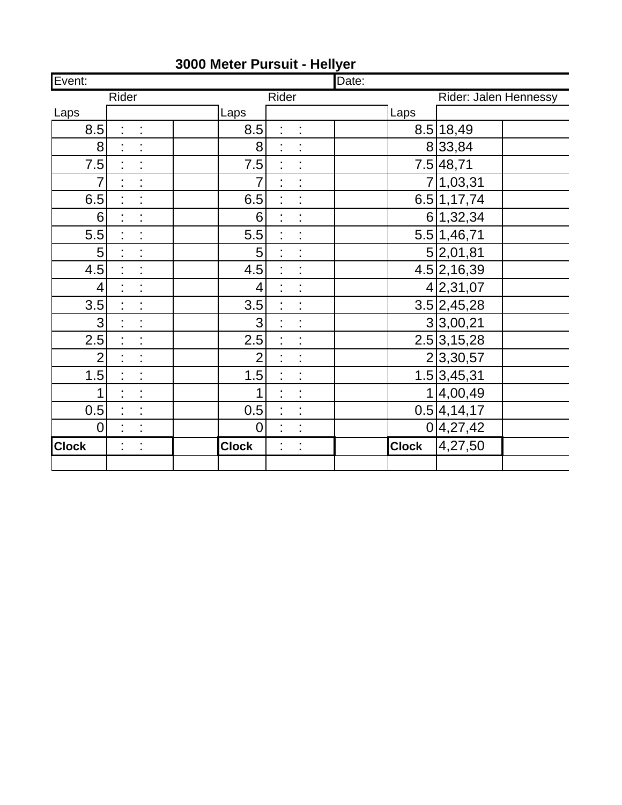| Event:         |       |                      |              |                |       |                      | Date: |              |                         |  |
|----------------|-------|----------------------|--------------|----------------|-------|----------------------|-------|--------------|-------------------------|--|
|                | Rider |                      |              |                | Rider |                      |       |              | Rider: Jalen Hennessy   |  |
| Laps           |       |                      | Laps         |                |       |                      |       | Laps         |                         |  |
| 8.5            | t,    | t,                   |              | 8.5            | t,    | t,                   |       |              | 8.5 18,49               |  |
| 8              |       |                      |              | 8              |       |                      |       |              | 833,84                  |  |
| 7.5            | ł,    | Ì,                   |              | 7.5            |       |                      |       |              | 7.5 48,71               |  |
| $\overline{7}$ | t,    | Ì.                   |              | 7              |       |                      |       |              | 7 1,03,31               |  |
| 6.5            | ł,    | $\ddot{\phantom{0}}$ |              | 6.5            | Ì,    |                      |       |              | 6.5 1,17,74             |  |
| 6              | t,    | $\ddot{\phantom{a}}$ |              | 6              | Ì,    | Ì,                   |       |              | 6 1,32,34               |  |
| 5.5            | t,    | ċ                    |              | 5.5            | t,    |                      |       |              | 5.5 1,46,71             |  |
| 5              |       | Ì                    |              | 5              |       |                      |       |              | 5 2,01,81               |  |
| 4.5            | t,    |                      |              | 4.5            |       |                      |       |              | 4.5 2,16,39             |  |
| $\overline{4}$ | t,    | Ì.                   |              | $\overline{4}$ | Ì.    | Ì                    |       |              | 4 2,31,07               |  |
| 3.5            |       | $\vdots$             |              | 3.5            |       |                      |       |              | $3.5\overline{2,45,28}$ |  |
| 3              | t,    | $\vdots$             |              | 3              | t,    |                      |       |              | 3 3,00,21               |  |
| 2.5            | t,    | Ì                    |              | 2.5            | t,    |                      |       |              | 2.5 3,15,28             |  |
| $\overline{2}$ | ł,    | Ì,                   |              | $\overline{2}$ |       |                      |       |              | 2 3,30,57               |  |
| 1.5            | t,    | Ì                    |              | 1.5            | t,    |                      |       |              | 1.5 3,45,31             |  |
| 1              | Ì.    | Ì                    |              | 1              | t,    |                      |       |              | 1 4,00,49               |  |
| 0.5            |       | $\ddot{\phantom{a}}$ |              | 0.5            |       | $\ddot{\phantom{a}}$ |       |              | 0.5 4,14,17             |  |
| $\overline{0}$ | t,    | Ì                    |              | $\overline{0}$ | ÷,    |                      |       |              | 0 4,27,42               |  |
| <b>Clock</b>   | Ì,    | t,                   | <b>Clock</b> |                | t,    | Ì,                   |       | <b>Clock</b> | 4,27,50                 |  |
|                |       |                      |              |                |       |                      |       |              |                         |  |

# **3000 Meter Pursuit - Hellyer**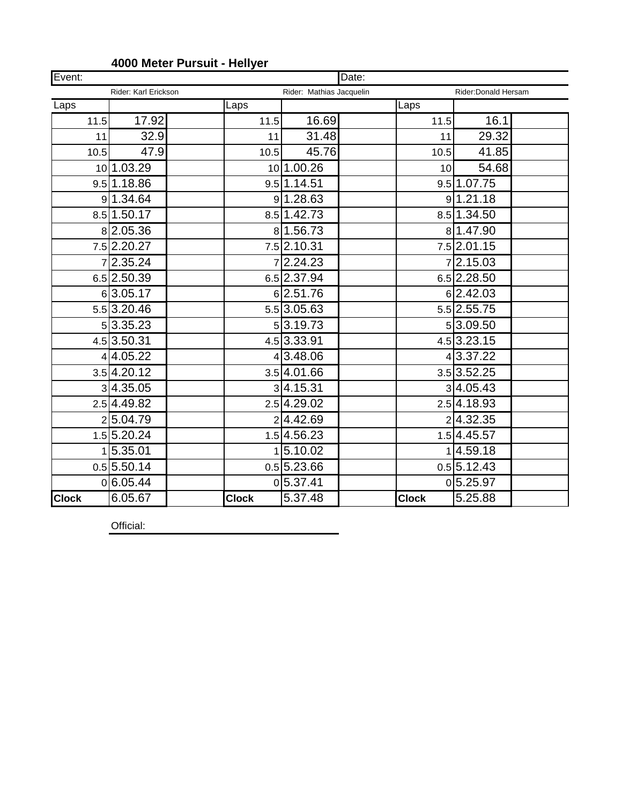| Event:       |                         |              |                          | Date: |              |                          |  |  |
|--------------|-------------------------|--------------|--------------------------|-------|--------------|--------------------------|--|--|
|              | Rider: Karl Erickson    |              | Rider: Mathias Jacquelin |       |              | Rider: Donald Hersam     |  |  |
| Laps         |                         | Laps         |                          |       | Laps         |                          |  |  |
| 11.5         | 17.92                   | 11.5         | 16.69                    |       | 11.5         | 16.1                     |  |  |
| 11           | 32.9                    | 11           | 31.48                    |       | 11           | 29.32                    |  |  |
| 10.5         | 47.9                    | 10.5         | 45.76                    |       | 10.5         | 41.85                    |  |  |
|              | 10 1.03.29              |              | 10 1.00.26               |       | 10           | 54.68                    |  |  |
|              | 9.5 1.18.86             |              | 9.5 1.14.51              |       |              | 9.5 1.07.75              |  |  |
|              | 9 1.34.64               |              | 9 1.28.63                |       |              | 9 1.21.18                |  |  |
|              | 8.5 1.50.17             |              | 8.5 1.42.73              |       |              | 8.5 1.34.50              |  |  |
|              | 82.05.36                |              | 81.56.73                 |       |              | 81.47.90                 |  |  |
|              | 7.5 2.20.27             |              | 7.5 2.10.31              |       |              | 7.5 2.01.15              |  |  |
|              | 72.35.24                |              | 72.24.23                 |       |              | 7 2.15.03                |  |  |
|              | $6.5$   2.50.39         |              | 6.5 2.37.94              |       |              | $6.5$ 2.28.50            |  |  |
|              | 63.05.17                |              | 6 2.51.76                |       |              | 6 2.42.03                |  |  |
|              | 5.5 3.20.46             |              | 5.5 3.05.63              |       |              | 5.5 2.55.75              |  |  |
|              | 5 3.35.23               |              | 5 3.19.73                |       |              | 53.09.50                 |  |  |
|              | 4.5 3.50.31             |              | 4.5 3.33.91              |       |              | $4.5$ 3.23.15            |  |  |
|              | 4 4.05.22               |              | 4 3.48.06                |       |              | $4\overline{)3.37.22}$   |  |  |
|              | 3.5 4.20.12             |              | 3.5 4.01.66              |       |              | $3.5$ 3.52.25            |  |  |
|              | 3 4.35.05               |              | 3 4.15.31                |       |              | 3 4.05.43                |  |  |
|              | 2.5 4.49.82             |              | 2.5 4.29.02              |       |              | 2.54.18.93               |  |  |
|              | 25.04.79                |              | 24.42.69                 |       |              | 24.32.35                 |  |  |
|              | 1.5 5.20.24             |              | 1.54.56.23               |       |              | 1.5 4.45.57              |  |  |
|              | 1 5.35.01               |              | 1 5.10.02                |       |              | 14.59.18                 |  |  |
|              | $0.5\overline{5.50.14}$ |              | $0.5$ 5.23.66            |       |              | $0.5\overline{)5.12.43}$ |  |  |
|              | 0 6.05.44               |              | 0 5.37.41                |       |              | 0 5.25.97                |  |  |
| <b>Clock</b> | 6.05.67                 | <b>Clock</b> | 5.37.48                  |       | <b>Clock</b> | 5.25.88                  |  |  |

#### **4000 Meter Pursuit - Hellyer**

Official: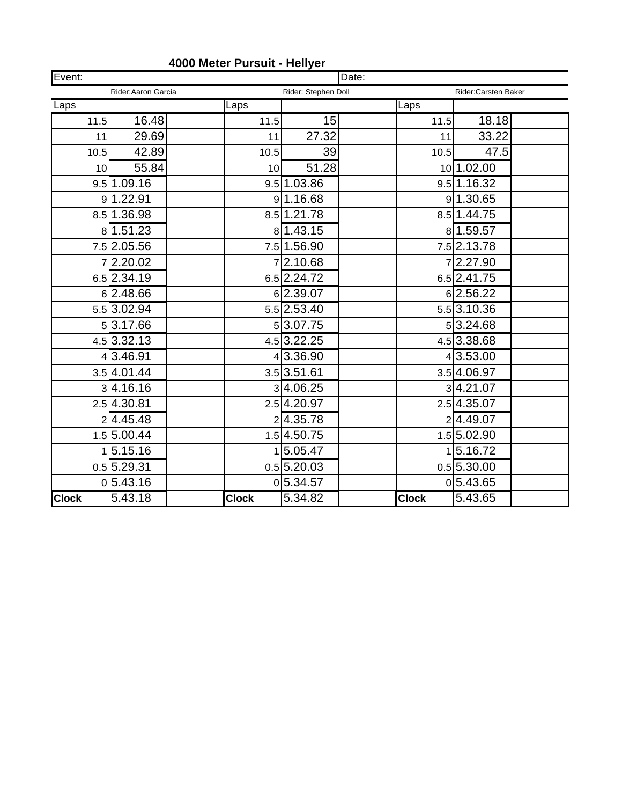| Event:       |                         |              |                     | Date: |              |                         |  |  |
|--------------|-------------------------|--------------|---------------------|-------|--------------|-------------------------|--|--|
|              | Rider: Aaron Garcia     |              | Rider: Stephen Doll |       |              | Rider:Carsten Baker     |  |  |
| Laps         |                         | Laps         |                     |       | Laps         |                         |  |  |
| 11.5         | 16.48                   | 11.5         | 15                  |       | 11.5         | 18.18                   |  |  |
| 11           | 29.69                   | 11           | 27.32               |       | 11           | 33.22                   |  |  |
| 10.5         | 42.89                   | 10.5         | 39                  |       | 10.5         | 47.5                    |  |  |
| 10           | 55.84                   | 10           | 51.28               |       |              | 10 1.02.00              |  |  |
|              | $9.5$ 1.09.16           |              | 9.5 1.03.86         |       |              | 9.5 1.16.32             |  |  |
|              | 9 1.22.91               |              | 9 1.16.68           |       |              | 9 1.30.65               |  |  |
|              | 8.5 1.36.98             |              | 8.5 1.21.78         |       |              | 8.5 1.44.75             |  |  |
|              | 8 1.51.23               |              | 81.43.15            |       |              | 81.59.57                |  |  |
|              | 7.5 2.05.56             |              | 7.5 1.56.90         |       |              | 7.5 2.13.78             |  |  |
|              | 72.20.02                |              | 72.10.68            |       |              | 72.27.90                |  |  |
|              | 6.5 2.34.19             |              | 6.5 2.24.72         |       |              | 6.5 2.41.75             |  |  |
|              | 6 2.48.66               |              | 62.39.07            |       |              | 62.56.22                |  |  |
|              | 5.5 3.02.94             |              | 5.5 2.53.40         |       |              | 5.5 3.10.36             |  |  |
|              | 5 3.17.66               |              | 53.07.75            |       |              | 53.24.68                |  |  |
|              | 4.5 3.32.13             |              | 4.5 3.22.25         |       |              | 4.5 3.38.68             |  |  |
|              | 4 3.46.91               |              | 4 3.36.90           |       |              | 4 3.53.00               |  |  |
|              | 3.5 4.01.44             |              | $3.5$ 3.51.61       |       |              | 3.5 4.06.97             |  |  |
|              | 3 4.16.16               |              | 34.06.25            |       |              | 34.21.07                |  |  |
|              | $2.5\overline{4.30.81}$ |              | 2.5 4.20.97         |       |              | $2.5\overline{4.35.07}$ |  |  |
|              | 2 4.45.48               |              | 24.35.78            |       |              | 24.49.07                |  |  |
|              | 1.5 5.00.44             |              | 1.54.50.75          |       |              | 1.5 5.02.90             |  |  |
|              | 1 5.15.16               |              | 15.05.47            |       |              | 5.16.72                 |  |  |
|              | 0.5 5.29.31             |              | $0.5$ 5.20.03       |       |              | $0.5\overline{5.30.00}$ |  |  |
|              | 0 5.43.16               |              | 0 5.34.57           |       |              | 0 5.43.65               |  |  |
| <b>Clock</b> | 5.43.18                 | <b>Clock</b> | 5.34.82             |       | <b>Clock</b> | 5.43.65                 |  |  |

#### **4000 Meter Pursuit - Hellyer**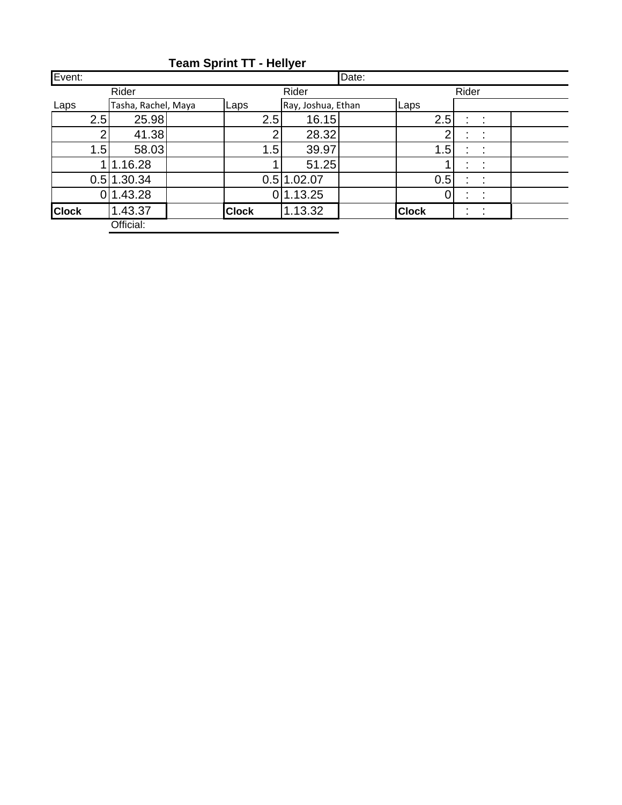| Event:       |                     |  |                |                    | Date: |              |   |                      |  |
|--------------|---------------------|--|----------------|--------------------|-------|--------------|---|----------------------|--|
|              | Rider               |  |                |                    | Rider |              |   |                      |  |
| Laps         | Tasha, Rachel, Maya |  | Laps           | Ray, Joshua, Ethan |       | Laps         |   |                      |  |
| 2.5          | 25.98               |  | 2.5            | 16.15              |       | 2.5          | t | $\ddot{\phantom{a}}$ |  |
| っ            | 41.38               |  | $\overline{2}$ | 28.32              |       |              |   |                      |  |
|              | 58.03<br>1.5        |  | 1.5<br>39.97   |                    |       | 1.5          |   |                      |  |
|              | 1.16.28             |  |                | 51.25              |       |              |   |                      |  |
| 0.5          | 1.30.34             |  |                | 0.5 1.02.07        |       | 0.5          |   | ÷                    |  |
| 0            | 1.43.28             |  |                | 0 1.13.25          |       |              |   |                      |  |
| <b>Clock</b> | 1.43.37             |  | <b>Clock</b>   | 1.13.32            |       | <b>Clock</b> | ٠ | $\bullet$            |  |
|              | Official:           |  |                |                    |       |              |   |                      |  |

**Team Sprint TT - Hellyer**